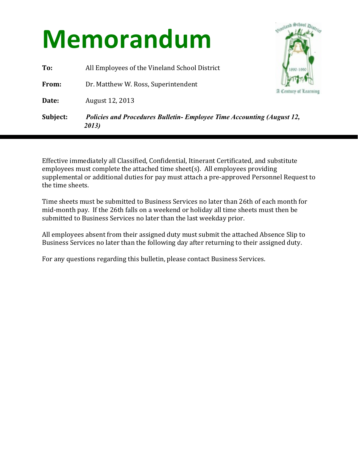## **Memorandum**

**To:** All Employees of the Vineland School District

**From:** Dr. Matthew W. Ross, Superintendent

**Date: August 12, 2013** 



**Subject:** *Policies and Procedures Bulletin- Employee Time Accounting (August 12, 2013)*

Effective immediately all Classified, Confidential, Itinerant Certificated, and substitute employees must complete the attached time sheet(s). All employees providing supplemental or additional duties for pay must attach a pre-approved Personnel Request to the time sheets.

Time sheets must be submitted to Business Services no later than 26th of each month for mid-month pay. If the 26th falls on a weekend or holiday all time sheets must then be submitted to Business Services no later than the last weekday prior.

All employees absent from their assigned duty must submit the attached Absence Slip to Business Services no later than the following day after returning to their assigned duty.

For any questions regarding this bulletin, please contact Business Services.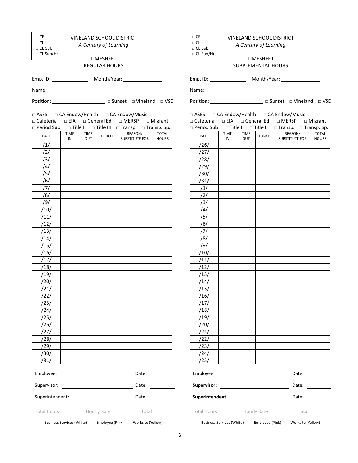| $\Box$ CE<br>$\Box$ CL<br>□ CE Sub<br>$\Box$ CL Sub/Hr  |                             |                    | A Century of Learning<br><b>TIMESHEET</b> | <b>VINELAND SCHOOL DISTRICT</b>                                                                |              | $\Box$ CE<br>$\Box$ CL<br>□ CE Sub<br>$\Box$ CL Sub/Hr | <b>VINELAND SCHOOL DISTRICT</b><br>A Century of Learning<br><b>TIMESHEET</b> |             |                 |                                                                                               |                                                                                                                                                                                                                                |  |
|---------------------------------------------------------|-----------------------------|--------------------|-------------------------------------------|------------------------------------------------------------------------------------------------|--------------|--------------------------------------------------------|------------------------------------------------------------------------------|-------------|-----------------|-----------------------------------------------------------------------------------------------|--------------------------------------------------------------------------------------------------------------------------------------------------------------------------------------------------------------------------------|--|
|                                                         |                             |                    | <b>REGULAR HOURS</b>                      |                                                                                                |              | SUPPLEMENTAL HOURS                                     |                                                                              |             |                 |                                                                                               |                                                                                                                                                                                                                                |  |
|                                                         |                             |                    |                                           |                                                                                                |              |                                                        |                                                                              |             |                 |                                                                                               |                                                                                                                                                                                                                                |  |
|                                                         |                             |                    |                                           |                                                                                                |              |                                                        |                                                                              |             |                 |                                                                                               |                                                                                                                                                                                                                                |  |
|                                                         |                             |                    |                                           | Position: _________________________ □ Sunset □ Vineland □ VSD                                  |              |                                                        |                                                                              |             |                 | Position: _______________________ □ Sunset □ Vineland □ VSD                                   |                                                                                                                                                                                                                                |  |
|                                                         |                             |                    |                                           | □ ASES □ CA Endow/Health □ CA Endow/Music<br>□ Cafeteria □ EIA □ General Ed □ MERSP □ Migrant  |              |                                                        |                                                                              |             |                 | □ ASES □ CA Endow/Health □ CA Endow/Music<br>□ Cafeteria □ EIA □ General Ed □ MERSP □ Migrant |                                                                                                                                                                                                                                |  |
|                                                         | <b>TIME</b>                 |                    |                                           | $\Box$ Period Sub $\Box$ Title I $\Box$ Title III $\Box$ Transp. $\Box$ Transp. Sp.<br>REASON/ | <b>TOTAL</b> |                                                        | <b>TIME</b>                                                                  | <b>TIME</b> |                 | $\Box$ Period Sub $\Box$ Title I $\Box$ Title III $\Box$ Transp. $\Box$ Transp. Sp.           | <b>TOTAL</b>                                                                                                                                                                                                                   |  |
| DATE                                                    | IN                          | <b>TIME</b><br>OUT | LUNCH                                     | <b>SUBSTITUTE FOR</b>                                                                          | <b>HOURS</b> | <b>DATE</b>                                            | IN                                                                           | OUT         | LUNCH           | REASON/<br>SUBSTITUTE FOR                                                                     | <b>HOURS</b>                                                                                                                                                                                                                   |  |
| /1/                                                     |                             |                    |                                           |                                                                                                |              | /26/                                                   |                                                                              |             |                 |                                                                                               |                                                                                                                                                                                                                                |  |
| /2/                                                     |                             |                    |                                           |                                                                                                |              | /27/                                                   |                                                                              |             |                 |                                                                                               |                                                                                                                                                                                                                                |  |
| /3/                                                     |                             |                    |                                           |                                                                                                |              | /28/                                                   |                                                                              |             |                 |                                                                                               |                                                                                                                                                                                                                                |  |
| /4/                                                     |                             |                    |                                           |                                                                                                |              | /29/                                                   |                                                                              |             |                 |                                                                                               |                                                                                                                                                                                                                                |  |
| /5/                                                     |                             |                    |                                           |                                                                                                |              | /30/                                                   |                                                                              |             |                 |                                                                                               |                                                                                                                                                                                                                                |  |
| /6/                                                     |                             |                    |                                           |                                                                                                |              | /31/                                                   |                                                                              |             |                 |                                                                                               |                                                                                                                                                                                                                                |  |
| /7/                                                     |                             |                    |                                           |                                                                                                |              | /1/                                                    |                                                                              |             |                 |                                                                                               |                                                                                                                                                                                                                                |  |
| /8/                                                     |                             |                    |                                           |                                                                                                |              | /2/                                                    |                                                                              |             |                 |                                                                                               |                                                                                                                                                                                                                                |  |
| /9/                                                     |                             |                    |                                           |                                                                                                |              | /3/                                                    |                                                                              |             |                 |                                                                                               |                                                                                                                                                                                                                                |  |
| /10/                                                    |                             |                    |                                           |                                                                                                |              | /4/                                                    |                                                                              |             |                 |                                                                                               |                                                                                                                                                                                                                                |  |
| /11/                                                    |                             |                    |                                           |                                                                                                |              | /5/                                                    |                                                                              |             |                 |                                                                                               |                                                                                                                                                                                                                                |  |
| /12/                                                    |                             |                    |                                           |                                                                                                |              | /6/                                                    |                                                                              |             |                 |                                                                                               |                                                                                                                                                                                                                                |  |
| /13/                                                    |                             |                    |                                           |                                                                                                |              | 171                                                    |                                                                              |             |                 |                                                                                               |                                                                                                                                                                                                                                |  |
| /14/<br>/15/                                            |                             |                    |                                           |                                                                                                |              | /8/<br>/9/                                             |                                                                              |             |                 |                                                                                               |                                                                                                                                                                                                                                |  |
| /16/                                                    |                             |                    |                                           |                                                                                                |              | /10/                                                   |                                                                              |             |                 |                                                                                               |                                                                                                                                                                                                                                |  |
| /17/                                                    |                             |                    |                                           |                                                                                                |              | /11/                                                   |                                                                              |             |                 |                                                                                               |                                                                                                                                                                                                                                |  |
| /18/                                                    |                             |                    |                                           |                                                                                                |              | /12/                                                   |                                                                              |             |                 |                                                                                               |                                                                                                                                                                                                                                |  |
| /19/                                                    |                             |                    |                                           |                                                                                                |              | /13/                                                   |                                                                              |             |                 |                                                                                               |                                                                                                                                                                                                                                |  |
| /20/                                                    |                             |                    |                                           |                                                                                                |              | /14/                                                   |                                                                              |             |                 |                                                                                               |                                                                                                                                                                                                                                |  |
| /21/                                                    |                             |                    |                                           |                                                                                                |              | /15/                                                   |                                                                              |             |                 |                                                                                               |                                                                                                                                                                                                                                |  |
| /22/                                                    |                             |                    |                                           |                                                                                                |              | /16/                                                   |                                                                              |             |                 |                                                                                               |                                                                                                                                                                                                                                |  |
| /23/                                                    |                             |                    |                                           |                                                                                                |              | /17/                                                   |                                                                              |             |                 |                                                                                               |                                                                                                                                                                                                                                |  |
| /24/                                                    |                             |                    |                                           |                                                                                                |              | /18/                                                   |                                                                              |             |                 |                                                                                               |                                                                                                                                                                                                                                |  |
| /25/                                                    |                             |                    |                                           |                                                                                                |              | /19/                                                   |                                                                              |             |                 |                                                                                               |                                                                                                                                                                                                                                |  |
| /26/                                                    |                             |                    |                                           |                                                                                                |              | /20/                                                   |                                                                              |             |                 |                                                                                               |                                                                                                                                                                                                                                |  |
| /27/                                                    |                             |                    |                                           |                                                                                                |              | /21/                                                   |                                                                              |             |                 |                                                                                               |                                                                                                                                                                                                                                |  |
| /28/                                                    |                             |                    |                                           |                                                                                                |              | /22/                                                   |                                                                              |             |                 |                                                                                               |                                                                                                                                                                                                                                |  |
| /29/                                                    |                             |                    |                                           |                                                                                                |              | /23/                                                   |                                                                              |             |                 |                                                                                               |                                                                                                                                                                                                                                |  |
| /30/                                                    |                             |                    |                                           |                                                                                                |              | /24/                                                   |                                                                              |             |                 |                                                                                               |                                                                                                                                                                                                                                |  |
| /31/                                                    |                             |                    |                                           |                                                                                                |              | /25/                                                   |                                                                              |             |                 |                                                                                               |                                                                                                                                                                                                                                |  |
| Employee:<br><u>new state of the state of the Date:</u> |                             |                    |                                           |                                                                                                |              | Employee: <u>______________________</u>                |                                                                              |             |                 |                                                                                               | Date:                                                                                                                                                                                                                          |  |
| Date:                                                   |                             |                    |                                           |                                                                                                |              | Supervisor: <u>____________________</u>                |                                                                              |             |                 |                                                                                               | Date: the control of the control of the control of the control of the control of the control of the control of the control of the control of the control of the control of the control of the control of the control of the co |  |
|                                                         | Superintendent: Date: Date: |                    |                                           |                                                                                                |              |                                                        |                                                                              |             |                 |                                                                                               | Date:                                                                                                                                                                                                                          |  |
|                                                         |                             |                    |                                           | Total Hours Hourly Rate Total                                                                  |              |                                                        |                                                                              |             |                 | Total Hours Hourly Rate ______________ Total ___________                                      |                                                                                                                                                                                                                                |  |
| <b>Business Services (White)</b>                        |                             |                    | Employee (Pink)                           | Worksite (Yellow)                                                                              |              | <b>Business Services (White)</b>                       |                                                                              |             | Employee (Pink) | Worksite (Yellow)                                                                             |                                                                                                                                                                                                                                |  |